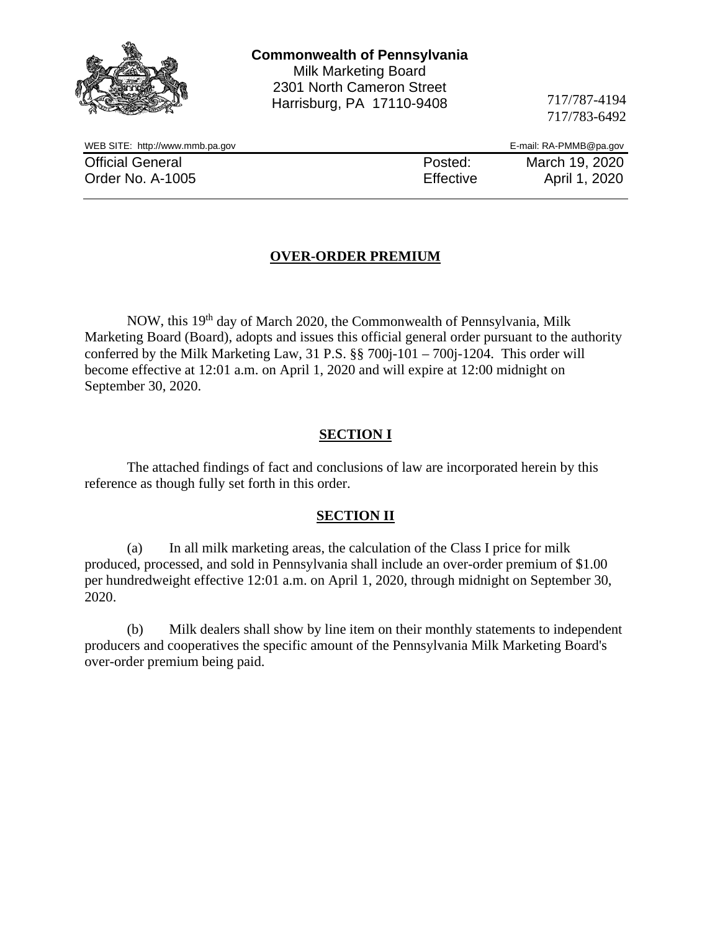|                                 | <b>Commonwealth of Pennsylvania</b><br><b>Milk Marketing Board</b><br>2301 North Cameron Street<br>Harrisburg, PA 17110-9408 | 717/787-4194<br>717/783-6492 |
|---------------------------------|------------------------------------------------------------------------------------------------------------------------------|------------------------------|
| WEB SITE: http://www.mmb.pa.gov |                                                                                                                              | E-mail: RA-PMMB@pa.gov       |
| <b>Official General</b>         | Posted:                                                                                                                      | March 19, 2020               |
| Order No. A-1005                | Effective                                                                                                                    | April 1, 2020                |
|                                 |                                                                                                                              |                              |

# **OVER-ORDER PREMIUM**

NOW, this 19th day of March 2020, the Commonwealth of Pennsylvania, Milk Marketing Board (Board), adopts and issues this official general order pursuant to the authority conferred by the Milk Marketing Law, 31 P.S. §§ 700j-101 – 700j-1204. This order will become effective at 12:01 a.m. on April 1, 2020 and will expire at 12:00 midnight on September 30, 2020.

## **SECTION I**

The attached findings of fact and conclusions of law are incorporated herein by this reference as though fully set forth in this order.

#### **SECTION II**

(a) In all milk marketing areas, the calculation of the Class I price for milk produced, processed, and sold in Pennsylvania shall include an over-order premium of \$1.00 per hundredweight effective 12:01 a.m. on April 1, 2020, through midnight on September 30, 2020.

(b) Milk dealers shall show by line item on their monthly statements to independent producers and cooperatives the specific amount of the Pennsylvania Milk Marketing Board's over-order premium being paid.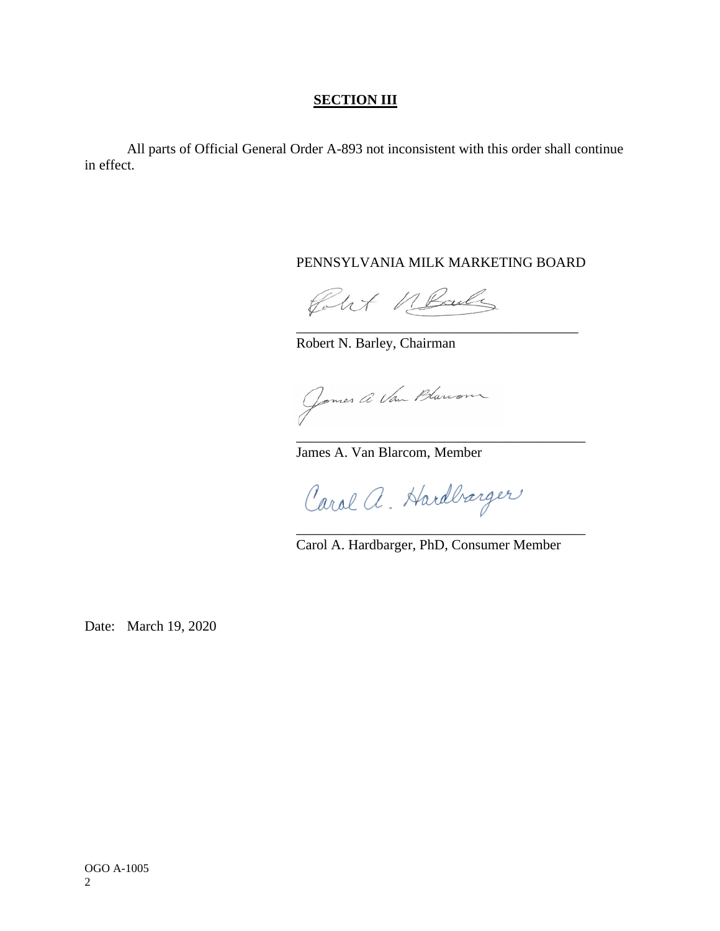## **SECTION III**

All parts of Official General Order A-893 not inconsistent with this order shall continue in effect.

#### PENNSYLVANIA MILK MARKETING BOARD

\_\_\_\_\_\_\_\_\_\_\_\_\_\_\_\_\_\_\_\_\_\_\_\_\_\_\_\_\_\_\_\_\_\_\_\_\_\_\_\_

\_\_\_\_\_\_\_\_\_\_\_\_\_\_\_\_\_\_\_\_\_\_\_\_\_\_\_\_\_\_\_\_\_\_\_\_\_\_\_\_\_

Polet MBailey

Robert N. Barley, Chairman

Jomes a Van Blanon

James A. Van Blarcom, Member

Carol a. Hardbærger

Carol A. Hardbarger, PhD, Consumer Member

\_\_\_\_\_\_\_\_\_\_\_\_\_\_\_\_\_\_\_\_\_\_\_\_\_\_\_\_\_\_\_\_\_\_\_\_\_\_\_\_\_

Date: March 19, 2020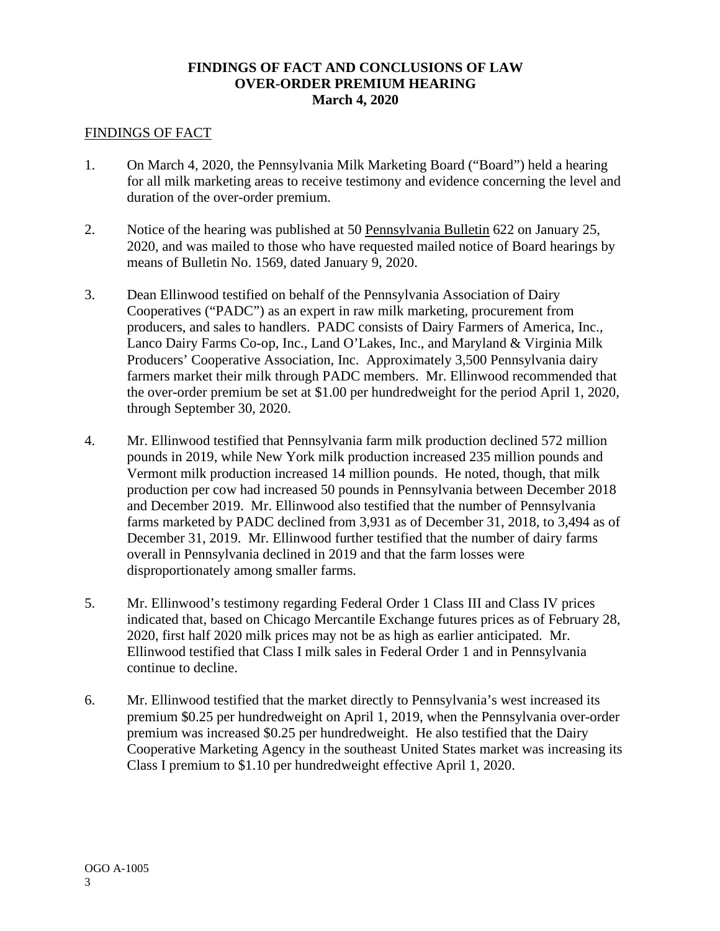## **FINDINGS OF FACT AND CONCLUSIONS OF LAW OVER-ORDER PREMIUM HEARING March 4, 2020**

#### FINDINGS OF FACT

- 1. On March 4, 2020, the Pennsylvania Milk Marketing Board ("Board") held a hearing for all milk marketing areas to receive testimony and evidence concerning the level and duration of the over-order premium.
- 2. Notice of the hearing was published at 50 Pennsylvania Bulletin 622 on January 25, 2020, and was mailed to those who have requested mailed notice of Board hearings by means of Bulletin No. 1569, dated January 9, 2020.
- 3. Dean Ellinwood testified on behalf of the Pennsylvania Association of Dairy Cooperatives ("PADC") as an expert in raw milk marketing, procurement from producers, and sales to handlers. PADC consists of Dairy Farmers of America, Inc., Lanco Dairy Farms Co-op, Inc., Land O'Lakes, Inc., and Maryland & Virginia Milk Producers' Cooperative Association, Inc. Approximately 3,500 Pennsylvania dairy farmers market their milk through PADC members. Mr. Ellinwood recommended that the over-order premium be set at \$1.00 per hundredweight for the period April 1, 2020, through September 30, 2020.
- 4. Mr. Ellinwood testified that Pennsylvania farm milk production declined 572 million pounds in 2019, while New York milk production increased 235 million pounds and Vermont milk production increased 14 million pounds. He noted, though, that milk production per cow had increased 50 pounds in Pennsylvania between December 2018 and December 2019. Mr. Ellinwood also testified that the number of Pennsylvania farms marketed by PADC declined from 3,931 as of December 31, 2018, to 3,494 as of December 31, 2019. Mr. Ellinwood further testified that the number of dairy farms overall in Pennsylvania declined in 2019 and that the farm losses were disproportionately among smaller farms.
- 5. Mr. Ellinwood's testimony regarding Federal Order 1 Class III and Class IV prices indicated that, based on Chicago Mercantile Exchange futures prices as of February 28, 2020, first half 2020 milk prices may not be as high as earlier anticipated. Mr. Ellinwood testified that Class I milk sales in Federal Order 1 and in Pennsylvania continue to decline.
- 6. Mr. Ellinwood testified that the market directly to Pennsylvania's west increased its premium \$0.25 per hundredweight on April 1, 2019, when the Pennsylvania over-order premium was increased \$0.25 per hundredweight. He also testified that the Dairy Cooperative Marketing Agency in the southeast United States market was increasing its Class I premium to \$1.10 per hundredweight effective April 1, 2020.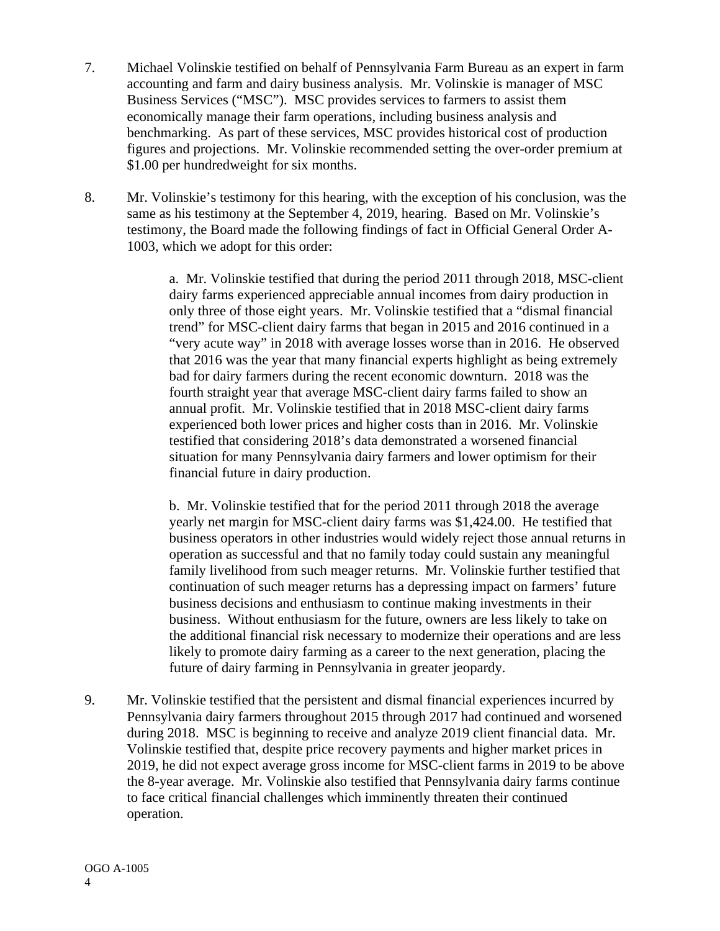- 7. Michael Volinskie testified on behalf of Pennsylvania Farm Bureau as an expert in farm accounting and farm and dairy business analysis. Mr. Volinskie is manager of MSC Business Services ("MSC"). MSC provides services to farmers to assist them economically manage their farm operations, including business analysis and benchmarking. As part of these services, MSC provides historical cost of production figures and projections. Mr. Volinskie recommended setting the over-order premium at \$1.00 per hundredweight for six months.
- 8. Mr. Volinskie's testimony for this hearing, with the exception of his conclusion, was the same as his testimony at the September 4, 2019, hearing. Based on Mr. Volinskie's testimony, the Board made the following findings of fact in Official General Order A-1003, which we adopt for this order:

a. Mr. Volinskie testified that during the period 2011 through 2018, MSC-client dairy farms experienced appreciable annual incomes from dairy production in only three of those eight years. Mr. Volinskie testified that a "dismal financial trend" for MSC-client dairy farms that began in 2015 and 2016 continued in a "very acute way" in 2018 with average losses worse than in 2016. He observed that 2016 was the year that many financial experts highlight as being extremely bad for dairy farmers during the recent economic downturn. 2018 was the fourth straight year that average MSC-client dairy farms failed to show an annual profit. Mr. Volinskie testified that in 2018 MSC-client dairy farms experienced both lower prices and higher costs than in 2016. Mr. Volinskie testified that considering 2018's data demonstrated a worsened financial situation for many Pennsylvania dairy farmers and lower optimism for their financial future in dairy production.

b. Mr. Volinskie testified that for the period 2011 through 2018 the average yearly net margin for MSC-client dairy farms was \$1,424.00. He testified that business operators in other industries would widely reject those annual returns in operation as successful and that no family today could sustain any meaningful family livelihood from such meager returns. Mr. Volinskie further testified that continuation of such meager returns has a depressing impact on farmers' future business decisions and enthusiasm to continue making investments in their business. Without enthusiasm for the future, owners are less likely to take on the additional financial risk necessary to modernize their operations and are less likely to promote dairy farming as a career to the next generation, placing the future of dairy farming in Pennsylvania in greater jeopardy.

9. Mr. Volinskie testified that the persistent and dismal financial experiences incurred by Pennsylvania dairy farmers throughout 2015 through 2017 had continued and worsened during 2018. MSC is beginning to receive and analyze 2019 client financial data. Mr. Volinskie testified that, despite price recovery payments and higher market prices in 2019, he did not expect average gross income for MSC-client farms in 2019 to be above the 8-year average. Mr. Volinskie also testified that Pennsylvania dairy farms continue to face critical financial challenges which imminently threaten their continued operation.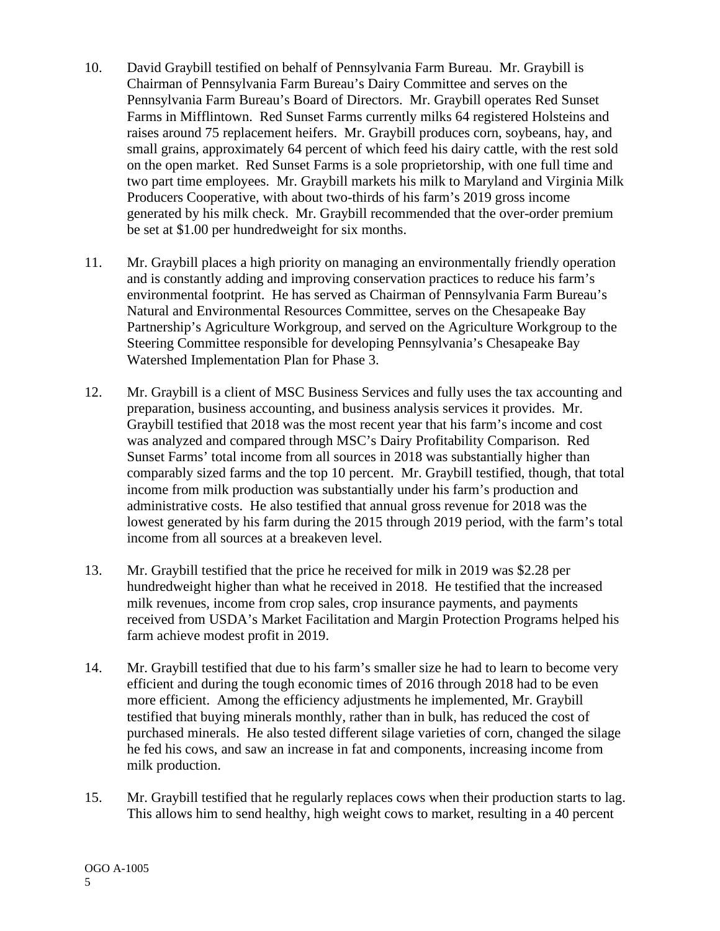- 10. David Graybill testified on behalf of Pennsylvania Farm Bureau. Mr. Graybill is Chairman of Pennsylvania Farm Bureau's Dairy Committee and serves on the Pennsylvania Farm Bureau's Board of Directors. Mr. Graybill operates Red Sunset Farms in Mifflintown. Red Sunset Farms currently milks 64 registered Holsteins and raises around 75 replacement heifers. Mr. Graybill produces corn, soybeans, hay, and small grains, approximately 64 percent of which feed his dairy cattle, with the rest sold on the open market. Red Sunset Farms is a sole proprietorship, with one full time and two part time employees. Mr. Graybill markets his milk to Maryland and Virginia Milk Producers Cooperative, with about two-thirds of his farm's 2019 gross income generated by his milk check. Mr. Graybill recommended that the over-order premium be set at \$1.00 per hundredweight for six months.
- 11. Mr. Graybill places a high priority on managing an environmentally friendly operation and is constantly adding and improving conservation practices to reduce his farm's environmental footprint. He has served as Chairman of Pennsylvania Farm Bureau's Natural and Environmental Resources Committee, serves on the Chesapeake Bay Partnership's Agriculture Workgroup, and served on the Agriculture Workgroup to the Steering Committee responsible for developing Pennsylvania's Chesapeake Bay Watershed Implementation Plan for Phase 3.
- 12. Mr. Graybill is a client of MSC Business Services and fully uses the tax accounting and preparation, business accounting, and business analysis services it provides. Mr. Graybill testified that 2018 was the most recent year that his farm's income and cost was analyzed and compared through MSC's Dairy Profitability Comparison. Red Sunset Farms' total income from all sources in 2018 was substantially higher than comparably sized farms and the top 10 percent. Mr. Graybill testified, though, that total income from milk production was substantially under his farm's production and administrative costs. He also testified that annual gross revenue for 2018 was the lowest generated by his farm during the 2015 through 2019 period, with the farm's total income from all sources at a breakeven level.
- 13. Mr. Graybill testified that the price he received for milk in 2019 was \$2.28 per hundredweight higher than what he received in 2018. He testified that the increased milk revenues, income from crop sales, crop insurance payments, and payments received from USDA's Market Facilitation and Margin Protection Programs helped his farm achieve modest profit in 2019.
- 14. Mr. Graybill testified that due to his farm's smaller size he had to learn to become very efficient and during the tough economic times of 2016 through 2018 had to be even more efficient. Among the efficiency adjustments he implemented, Mr. Graybill testified that buying minerals monthly, rather than in bulk, has reduced the cost of purchased minerals. He also tested different silage varieties of corn, changed the silage he fed his cows, and saw an increase in fat and components, increasing income from milk production.
- 15. Mr. Graybill testified that he regularly replaces cows when their production starts to lag. This allows him to send healthy, high weight cows to market, resulting in a 40 percent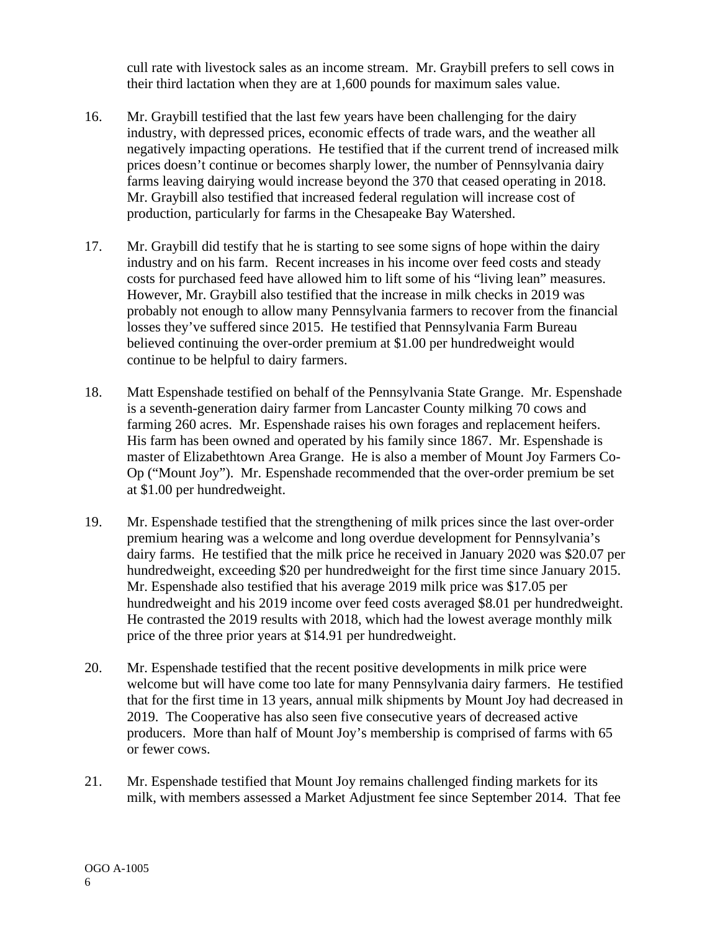cull rate with livestock sales as an income stream. Mr. Graybill prefers to sell cows in their third lactation when they are at 1,600 pounds for maximum sales value.

- 16. Mr. Graybill testified that the last few years have been challenging for the dairy industry, with depressed prices, economic effects of trade wars, and the weather all negatively impacting operations. He testified that if the current trend of increased milk prices doesn't continue or becomes sharply lower, the number of Pennsylvania dairy farms leaving dairying would increase beyond the 370 that ceased operating in 2018. Mr. Graybill also testified that increased federal regulation will increase cost of production, particularly for farms in the Chesapeake Bay Watershed.
- 17. Mr. Graybill did testify that he is starting to see some signs of hope within the dairy industry and on his farm. Recent increases in his income over feed costs and steady costs for purchased feed have allowed him to lift some of his "living lean" measures. However, Mr. Graybill also testified that the increase in milk checks in 2019 was probably not enough to allow many Pennsylvania farmers to recover from the financial losses they've suffered since 2015. He testified that Pennsylvania Farm Bureau believed continuing the over-order premium at \$1.00 per hundredweight would continue to be helpful to dairy farmers.
- 18. Matt Espenshade testified on behalf of the Pennsylvania State Grange. Mr. Espenshade is a seventh-generation dairy farmer from Lancaster County milking 70 cows and farming 260 acres. Mr. Espenshade raises his own forages and replacement heifers. His farm has been owned and operated by his family since 1867. Mr. Espenshade is master of Elizabethtown Area Grange. He is also a member of Mount Joy Farmers Co-Op ("Mount Joy"). Mr. Espenshade recommended that the over-order premium be set at \$1.00 per hundredweight.
- 19. Mr. Espenshade testified that the strengthening of milk prices since the last over-order premium hearing was a welcome and long overdue development for Pennsylvania's dairy farms. He testified that the milk price he received in January 2020 was \$20.07 per hundredweight, exceeding \$20 per hundredweight for the first time since January 2015. Mr. Espenshade also testified that his average 2019 milk price was \$17.05 per hundredweight and his 2019 income over feed costs averaged \$8.01 per hundredweight. He contrasted the 2019 results with 2018, which had the lowest average monthly milk price of the three prior years at \$14.91 per hundredweight.
- 20. Mr. Espenshade testified that the recent positive developments in milk price were welcome but will have come too late for many Pennsylvania dairy farmers. He testified that for the first time in 13 years, annual milk shipments by Mount Joy had decreased in 2019. The Cooperative has also seen five consecutive years of decreased active producers. More than half of Mount Joy's membership is comprised of farms with 65 or fewer cows.
- 21. Mr. Espenshade testified that Mount Joy remains challenged finding markets for its milk, with members assessed a Market Adjustment fee since September 2014. That fee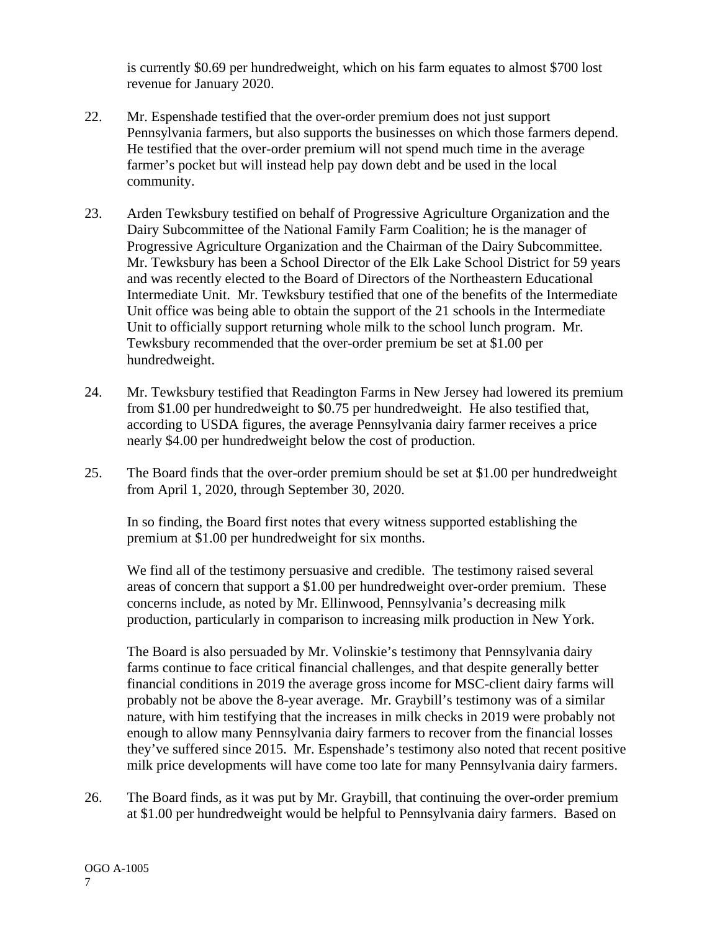is currently \$0.69 per hundredweight, which on his farm equates to almost \$700 lost revenue for January 2020.

- 22. Mr. Espenshade testified that the over-order premium does not just support Pennsylvania farmers, but also supports the businesses on which those farmers depend. He testified that the over-order premium will not spend much time in the average farmer's pocket but will instead help pay down debt and be used in the local community.
- 23. Arden Tewksbury testified on behalf of Progressive Agriculture Organization and the Dairy Subcommittee of the National Family Farm Coalition; he is the manager of Progressive Agriculture Organization and the Chairman of the Dairy Subcommittee. Mr. Tewksbury has been a School Director of the Elk Lake School District for 59 years and was recently elected to the Board of Directors of the Northeastern Educational Intermediate Unit. Mr. Tewksbury testified that one of the benefits of the Intermediate Unit office was being able to obtain the support of the 21 schools in the Intermediate Unit to officially support returning whole milk to the school lunch program. Mr. Tewksbury recommended that the over-order premium be set at \$1.00 per hundredweight.
- 24. Mr. Tewksbury testified that Readington Farms in New Jersey had lowered its premium from \$1.00 per hundredweight to \$0.75 per hundredweight. He also testified that, according to USDA figures, the average Pennsylvania dairy farmer receives a price nearly \$4.00 per hundredweight below the cost of production.
- 25. The Board finds that the over-order premium should be set at \$1.00 per hundredweight from April 1, 2020, through September 30, 2020.

In so finding, the Board first notes that every witness supported establishing the premium at \$1.00 per hundredweight for six months.

We find all of the testimony persuasive and credible. The testimony raised several areas of concern that support a \$1.00 per hundredweight over-order premium. These concerns include, as noted by Mr. Ellinwood, Pennsylvania's decreasing milk production, particularly in comparison to increasing milk production in New York.

The Board is also persuaded by Mr. Volinskie's testimony that Pennsylvania dairy farms continue to face critical financial challenges, and that despite generally better financial conditions in 2019 the average gross income for MSC-client dairy farms will probably not be above the 8-year average. Mr. Graybill's testimony was of a similar nature, with him testifying that the increases in milk checks in 2019 were probably not enough to allow many Pennsylvania dairy farmers to recover from the financial losses they've suffered since 2015. Mr. Espenshade's testimony also noted that recent positive milk price developments will have come too late for many Pennsylvania dairy farmers.

26. The Board finds, as it was put by Mr. Graybill, that continuing the over-order premium at \$1.00 per hundredweight would be helpful to Pennsylvania dairy farmers. Based on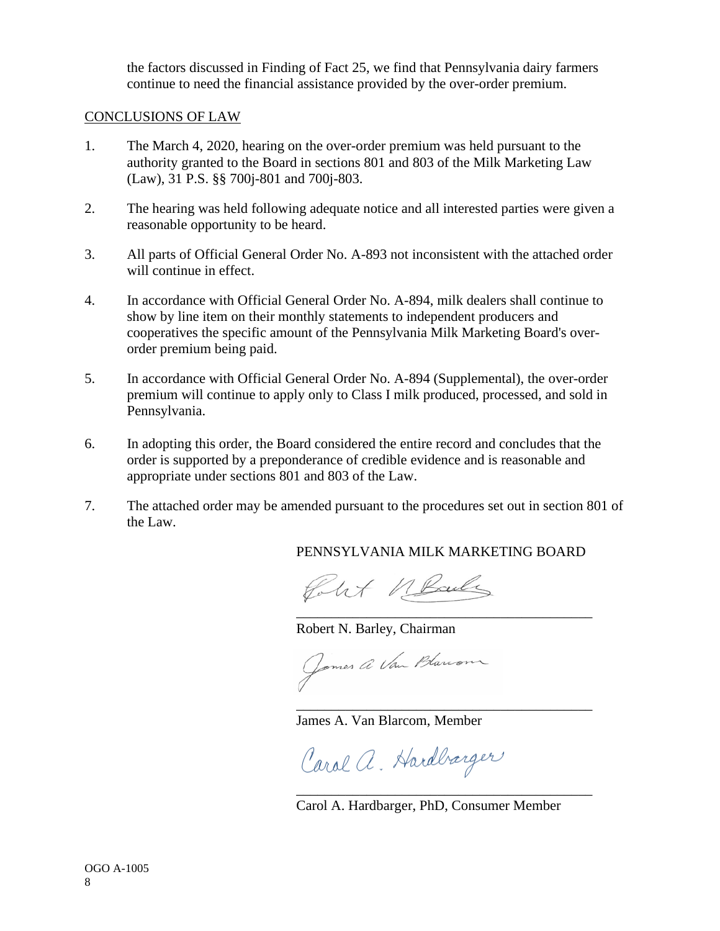the factors discussed in Finding of Fact 25, we find that Pennsylvania dairy farmers continue to need the financial assistance provided by the over-order premium.

## CONCLUSIONS OF LAW

- 1. The March 4, 2020, hearing on the over-order premium was held pursuant to the authority granted to the Board in sections 801 and 803 of the Milk Marketing Law (Law), 31 P.S. §§ 700j-801 and 700j-803.
- 2. The hearing was held following adequate notice and all interested parties were given a reasonable opportunity to be heard.
- 3. All parts of Official General Order No. A-893 not inconsistent with the attached order will continue in effect.
- 4. In accordance with Official General Order No. A-894, milk dealers shall continue to show by line item on their monthly statements to independent producers and cooperatives the specific amount of the Pennsylvania Milk Marketing Board's overorder premium being paid.
- 5. In accordance with Official General Order No. A-894 (Supplemental), the over-order premium will continue to apply only to Class I milk produced, processed, and sold in Pennsylvania.
- 6. In adopting this order, the Board considered the entire record and concludes that the order is supported by a preponderance of credible evidence and is reasonable and appropriate under sections 801 and 803 of the Law.
- 7. The attached order may be amended pursuant to the procedures set out in section 801 of the Law.

PENNSYLVANIA MILK MARKETING BOARD

\_\_\_\_\_\_\_\_\_\_\_\_\_\_\_\_\_\_\_\_\_\_\_\_\_\_\_\_\_\_\_\_\_\_\_\_\_\_\_\_\_\_

folkt MBailes

Robert N. Barley, Chairman

Jomes a Van Blanon

James A. Van Blarcom, Member

Carol a. Hardbærger

Carol A. Hardbarger, PhD, Consumer Member